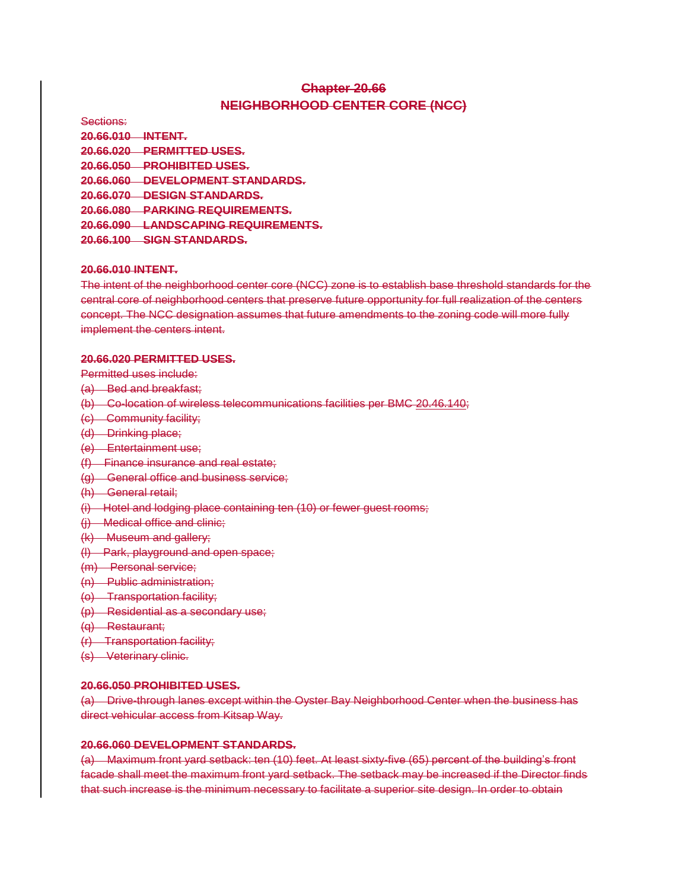# **Chapter 20.66 NEIGHBORHOOD CENTER CORE (NCC)**

Sections: **20.66.010 INTENT. 20.66.020 PERMITTED USES. 20.66.050 PROHIBITED USES. 20.66.060 DEVELOPMENT STANDARDS. 20.66.070 DESIGN STANDARDS. 20.66.080 PARKING REQUIREMENTS. 20.66.090 LANDSCAPING REQUIREMENTS. 20.66.100 SIGN STANDARDS.**

### **20.66.010 INTENT.**

The intent of the neighborhood center core (NCC) zone is to establish base threshold standards for the central core of neighborhood centers that preserve future opportunity for full realization of the centers concept. The NCC designation assumes that future amendments to the zoning code will more fully implement the centers intent.

#### **20.66.020 PERMITTED USES.**

Permitted uses include:

- (a) Bed and breakfast;
- (b) Co-location of wireless telecommunications facilities per BMC 20.46.140;
- (c) Community facility;
- (d) Drinking place;
- (e) Entertainment use;
- (f) Finance insurance and real estate;
- (g) General office and business service;
- (h) General retail;
- (i) Hotel and lodging place containing ten (10) or fewer guest rooms;
- (j) Medical office and clinic;
- (k) Museum and gallery;
- (l) Park, playground and open space;
- (m) Personal service;
- (n) Public administration;
- (o) Transportation facility;
- (p) Residential as a secondary use;
- (q) Restaurant;
- (r) Transportation facility;
- (s) Veterinary clinic.

### **20.66.050 PROHIBITED USES.**

(a) Drive-through lanes except within the Oyster Bay Neighborhood Center when the business has direct vehicular access from Kitsap Way.

## **20.66.060 DEVELOPMENT STANDARDS.**

(a) Maximum front yard setback: ten (10) feet. At least sixty-five (65) percent of the building's front facade shall meet the maximum front yard setback. The setback may be increased if the Director finds that such increase is the minimum necessary to facilitate a superior site design. In order to obtain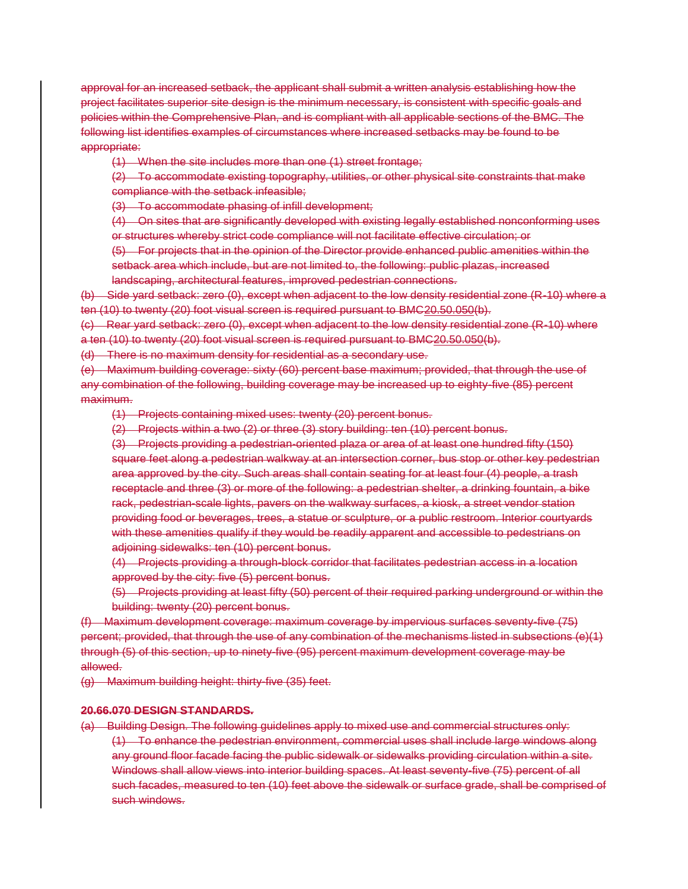approval for an increased setback, the applicant shall submit a written analysis establishing how the project facilitates superior site design is the minimum necessary, is consistent with specific goals and policies within the Comprehensive Plan, and is compliant with all applicable sections of the BMC. The following list identifies examples of circumstances where increased setbacks may be found to be appropriate:

(1) When the site includes more than one (1) street frontage;

(2) To accommodate existing topography, utilities, or other physical site constraints that make compliance with the setback infeasible;

(3) To accommodate phasing of infill development;

(4) On sites that are significantly developed with existing legally established nonconforming uses or structures whereby strict code compliance will not facilitate effective circulation; or

(5) For projects that in the opinion of the Director provide enhanced public amenities within the setback area which include, but are not limited to, the following: public plazas, increased landscaping, architectural features, improved pedestrian connections.

(b) Side yard setback: zero (0), except when adjacent to the low density residential zone (R-10) where a ten (10) to twenty (20) foot visual screen is required pursuant to BMC20.50.050(b).

(c) Rear yard setback: zero (0), except when adjacent to the low density residential zone (R-10) where a ten (10) to twenty (20) foot visual screen is required pursuant to BMC20.50.050(b).

(d) There is no maximum density for residential as a secondary use.

(e) Maximum building coverage: sixty (60) percent base maximum; provided, that through the use of any combination of the following, building coverage may be increased up to eighty-five (85) percent maximum.

(1) Projects containing mixed uses: twenty (20) percent bonus.

(2) Projects within a two (2) or three (3) story building: ten (10) percent bonus.

(3) Projects providing a pedestrian-oriented plaza or area of at least one hundred fifty (150) square feet along a pedestrian walkway at an intersection corner, bus stop or other key pedestrian area approved by the city. Such areas shall contain seating for at least four (4) people, a trash receptacle and three (3) or more of the following: a pedestrian shelter, a drinking fountain, a bike rack, pedestrian-scale lights, pavers on the walkway surfaces, a kiosk, a street vendor station providing food or beverages, trees, a statue or sculpture, or a public restroom. Interior courtyards with these amenities qualify if they would be readily apparent and accessible to pedestrians on adjoining sidewalks: ten (10) percent bonus.

(4) Projects providing a through-block corridor that facilitates pedestrian access in a location approved by the city: five (5) percent bonus.

(5) Projects providing at least fifty (50) percent of their required parking underground or within the building: twenty (20) percent bonus.

(f) Maximum development coverage: maximum coverage by impervious surfaces seventy-five (75) percent; provided, that through the use of any combination of the mechanisms listed in subsections (e)(1) through (5) of this section, up to ninety-five (95) percent maximum development coverage may be allowed.

(g) Maximum building height: thirty-five (35) feet.

# **20.66.070 DESIGN STANDARDS.**

(a) Building Design. The following guidelines apply to mixed use and commercial structures only: (1) To enhance the pedestrian environment, commercial uses shall include large windows along any ground floor facade facing the public sidewalk or sidewalks providing circulation within a site. Windows shall allow views into interior building spaces. At least seventy-five (75) percent of all such facades, measured to ten (10) feet above the sidewalk or surface grade, shall be comprised of such windows.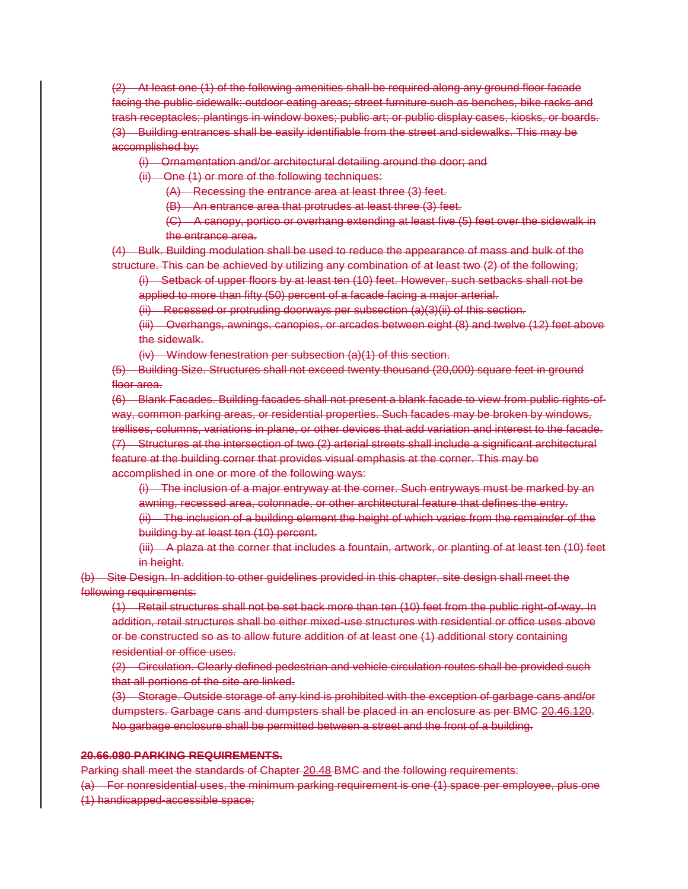(2) At least one (1) of the following amenities shall be required along any ground floor facade facing the public sidewalk: outdoor eating areas; street furniture such as benches, bike racks and trash receptacles; plantings in window boxes; public art; or public display cases, kiosks, or boards. (3) Building entrances shall be easily identifiable from the street and sidewalks. This may be accomplished by:

(i) Ornamentation and/or architectural detailing around the door; and

(ii) One (1) or more of the following techniques:

(A) Recessing the entrance area at least three (3) feet.

(B) An entrance area that protrudes at least three (3) feet.

(C) A canopy, portico or overhang extending at least five (5) feet over the sidewalk in the entrance area.

(4) Bulk. Building modulation shall be used to reduce the appearance of mass and bulk of the structure. This can be achieved by utilizing any combination of at least two (2) of the following;

(i) Setback of upper floors by at least ten (10) feet. However, such setbacks shall not be applied to more than fifty (50) percent of a facade facing a major arterial.

(ii) Recessed or protruding doorways per subsection (a)(3)(ii) of this section.

(iii) Overhangs, awnings, canopies, or arcades between eight (8) and twelve (12) feet above the sidewalk.

(iv) Window fenestration per subsection (a)(1) of this section.

(5) Building Size. Structures shall not exceed twenty thousand (20,000) square feet in ground floor area.

(6) Blank Facades. Building facades shall not present a blank facade to view from public rights-ofway, common parking areas, or residential properties. Such facades may be broken by windows, trellises, columns, variations in plane, or other devices that add variation and interest to the facade. (7) Structures at the intersection of two (2) arterial streets shall include a significant architectural feature at the building corner that provides visual emphasis at the corner. This may be accomplished in one or more of the following ways:

(i) The inclusion of a major entryway at the corner. Such entryways must be marked by an awning, recessed area, colonnade, or other architectural feature that defines the entry.

(ii) The inclusion of a building element the height of which varies from the remainder of the building by at least ten (10) percent.

(iii) A plaza at the corner that includes a fountain, artwork, or planting of at least ten (10) feet in height.

(b) Site Design. In addition to other guidelines provided in this chapter, site design shall meet the following requirements:

(1) Retail structures shall not be set back more than ten (10) feet from the public right-of-way. In addition, retail structures shall be either mixed-use structures with residential or office uses above or be constructed so as to allow future addition of at least one (1) additional story containing residential or office uses.

(2) Circulation. Clearly defined pedestrian and vehicle circulation routes shall be provided such that all portions of the site are linked.

(3) Storage. Outside storage of any kind is prohibited with the exception of garbage cans and/or dumpsters. Garbage cans and dumpsters shall be placed in an enclosure as per BMC 20.46.120. No garbage enclosure shall be permitted between a street and the front of a building.

# **20.66.080 PARKING REQUIREMENTS.**

Parking shall meet the standards of Chapter 20.48 BMC and the following requirements:

(a) For nonresidential uses, the minimum parking requirement is one (1) space per employee, plus one (1) handicapped-accessible space;